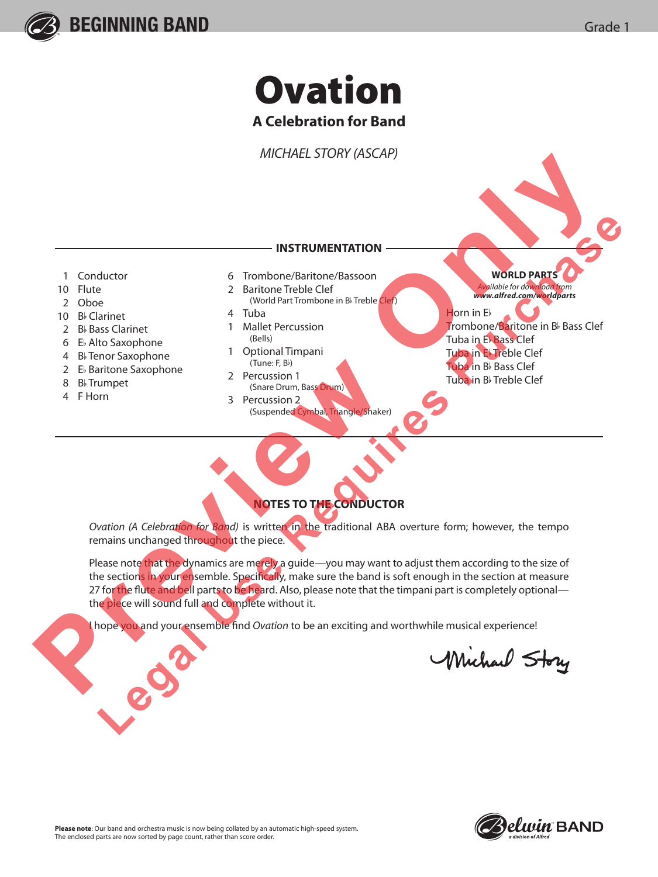

**BEGINNING BAND** Grade 1

## **Ovation**

**A Celebration for Band**

MICHAEL STORY (ASCAP)

**INSTRUMENTATION**

- 1 Conductor
- 10 Flute
- 2 Oboe
- 10 B<sub>b</sub> Clarinet
- 2 B<sub>b</sub> Bass Clarinet
- 6 El Alto Saxophone
- 4 B<sub>r</sub>Tenor Saxophone
- 2 El Baritone Saxophone
- 8 B<sub>b</sub>Trumpet
- 4 F Horn
- 6 Trombone/Baritone/Bassoon
- 2 Baritone Treble Clef
- (World Part Trombone in B♭ Treble <mark>Clef</mark>) 4 Tuba
- 1 Mallet Percussion
- (Bells) 1 Optional Timpani
- (Tune: F, B♭)
- 2 Percussion 1 (Snare Drum, Bass Drum)
- 3 Percussion 2 (Suspended Cymbal, Triangle/Shaker)

**WORLD PARTS** ailable for download from *www.alfred.com/worldparts*

## <mark>H</mark>orn in E Trombone/Baritone in Bl Bass Clef Tuba in El Bass Clef Tuba in El Treble Clef Tuba in B<sub>b</sub> Bass Clef Tuba in B♭ Treble Clef

## **NOTES TO THE CONDUCTOR**

Ovation (A Celebration for Band) is written in the traditional ABA overture form; however, the tempo remains unchanged throughout the piece.

Please note that the dynamics are merely a quide—you may want to adjust them according to the size of the sections in your ensemble. Specifically, make sure the band is soft enough in the section at measure 27 for the flute and bell parts to be heard. Also, please note that the timpani part is completely optional the piece will sound full and complete without it. **Preview of the control of the control of the control of the control of the control of the control of the control of the control of the control of the control of the control of the control of the control of the control of Legal Use Republicant Control Control Control Control Control Control Control Control Control Control Control Control Control Control Control Control Control Control Control Control Control Control Control Control Control** 

I hope you and your ensemble find *Ovation* to be an exciting and worthwhile musical experience!

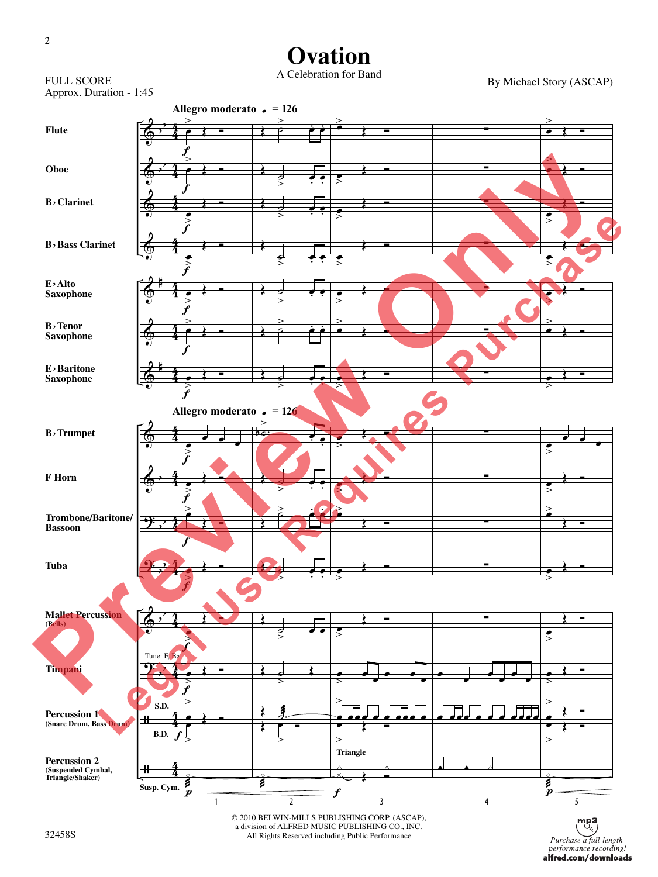

All Rights Reserved including Public Performance

*Purchase a full-length*<br>*performance recording!*<br>**alfred.com/downloads**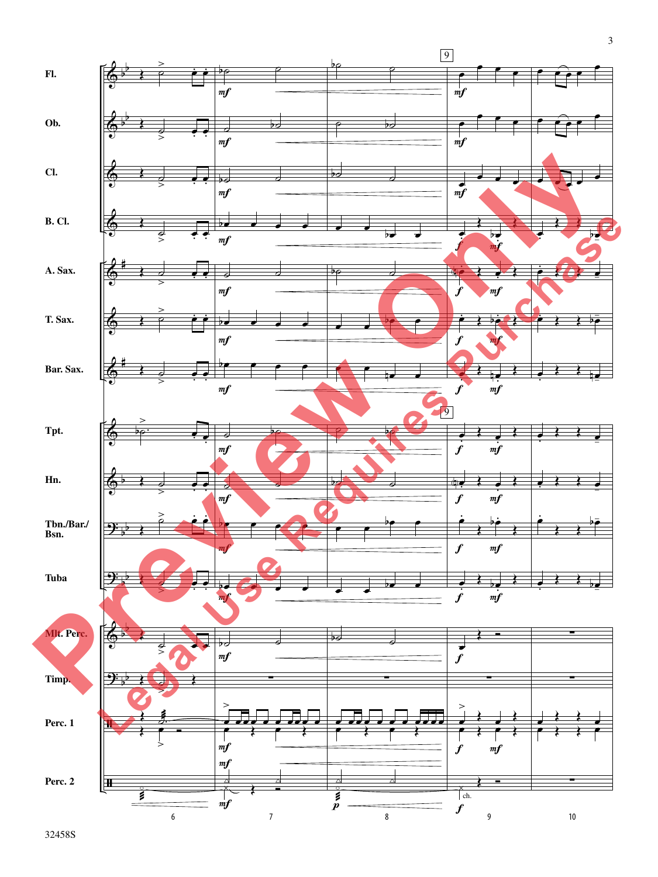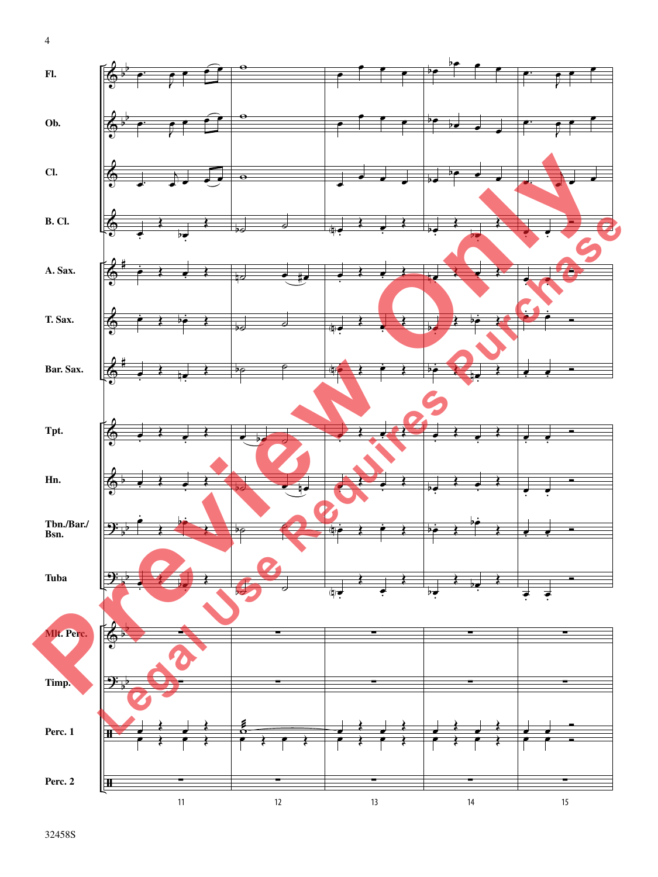Fl. Á Ob.  $\mathbf{C}$ l. B. Cl. A. Sax. T. Sax. Ì ħ Bar. Sax. H Tpt. € Hn. Tbn./Bar./<br>Bsn.  $\cdot$  :  $\cdot$ Tuba <u>g:</u> (b) a Mlt. Perc.  $\bigcirc$ Timp.  $9\frac{1}{2}$ Perc. 1  $\bf{H}$ Perc. 2  $\bf{H}$ 

 $11$ 

 $12\,$ 

 $13\,$ 

 $14$ 

 $15\,$ 

 $\overline{4}$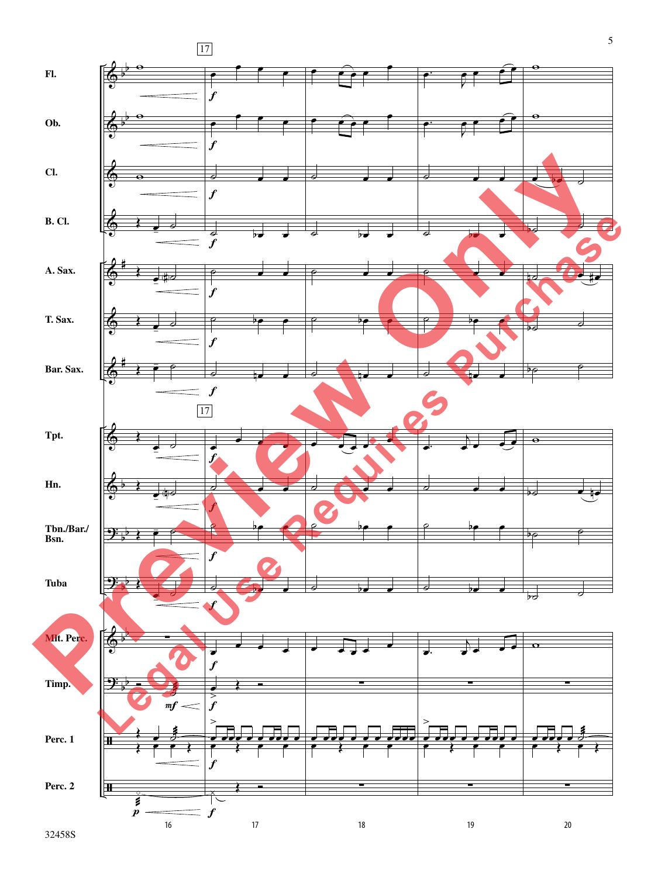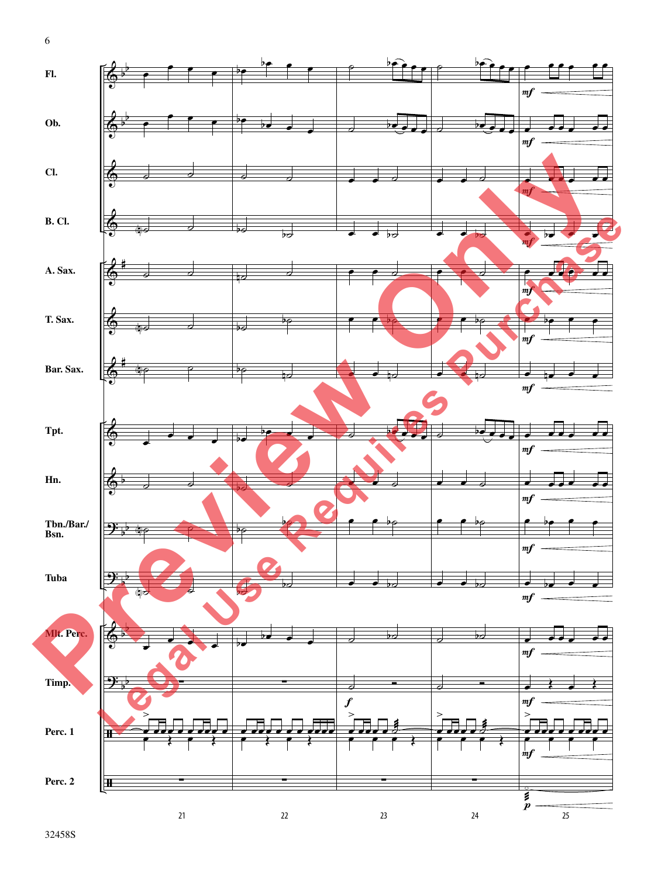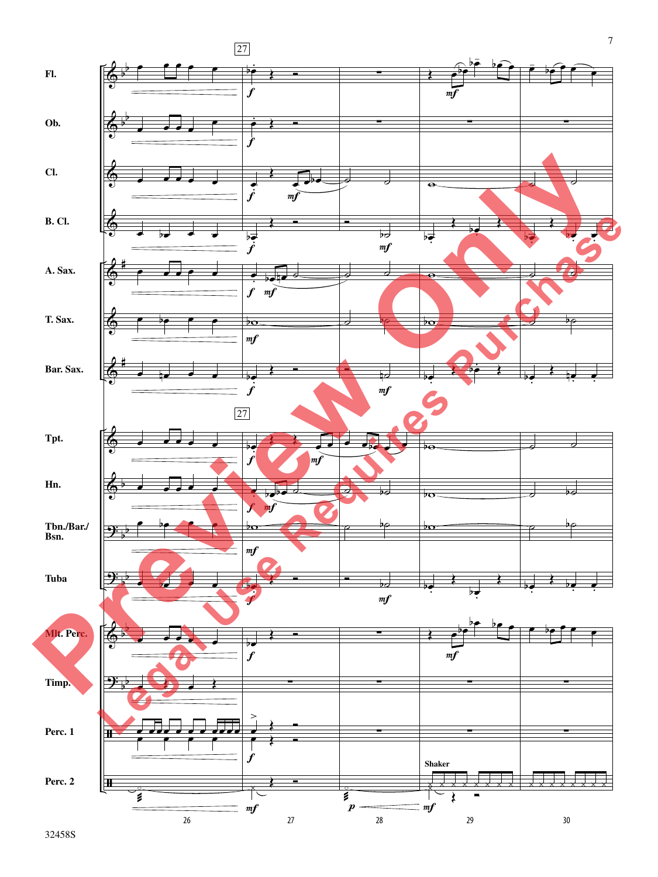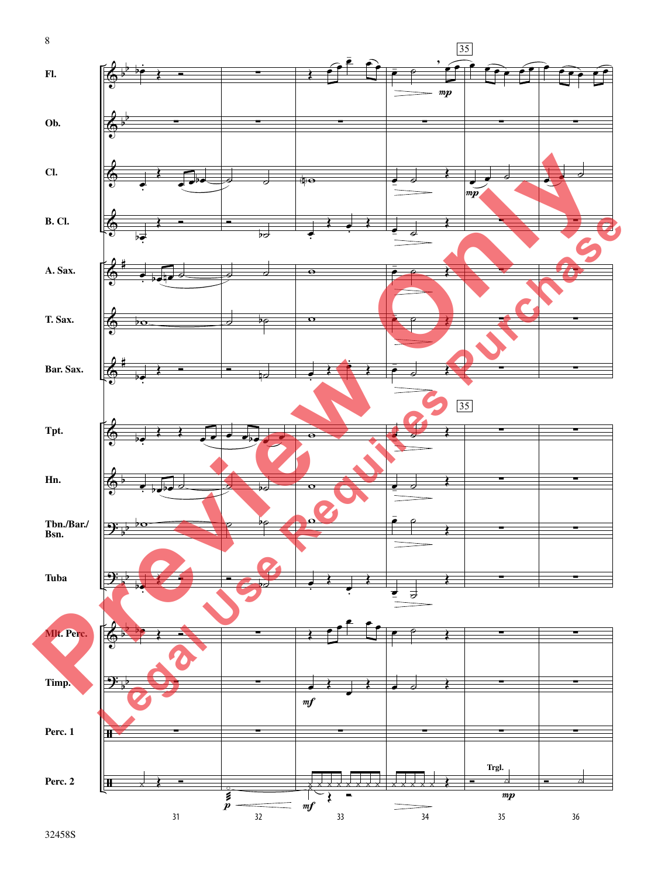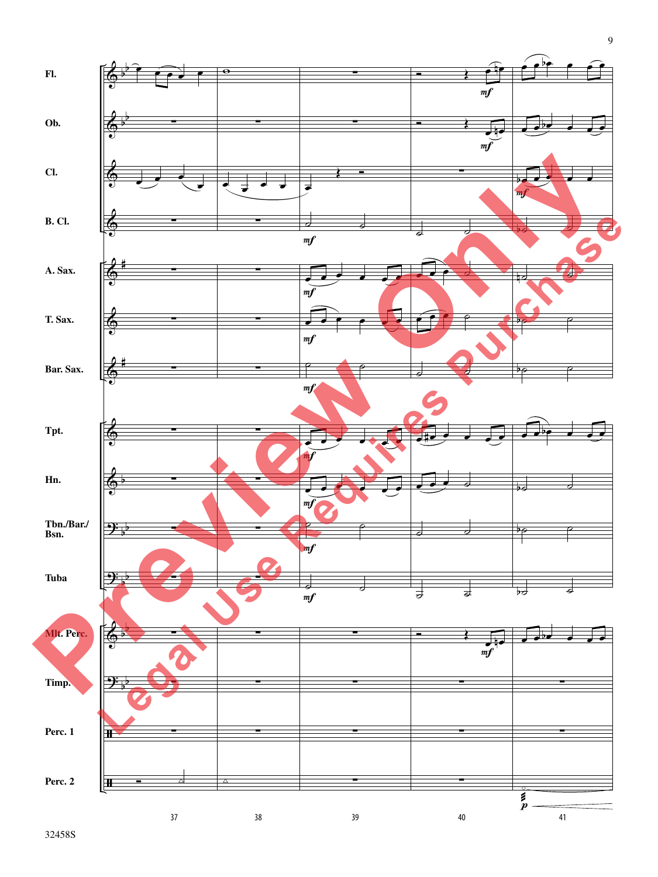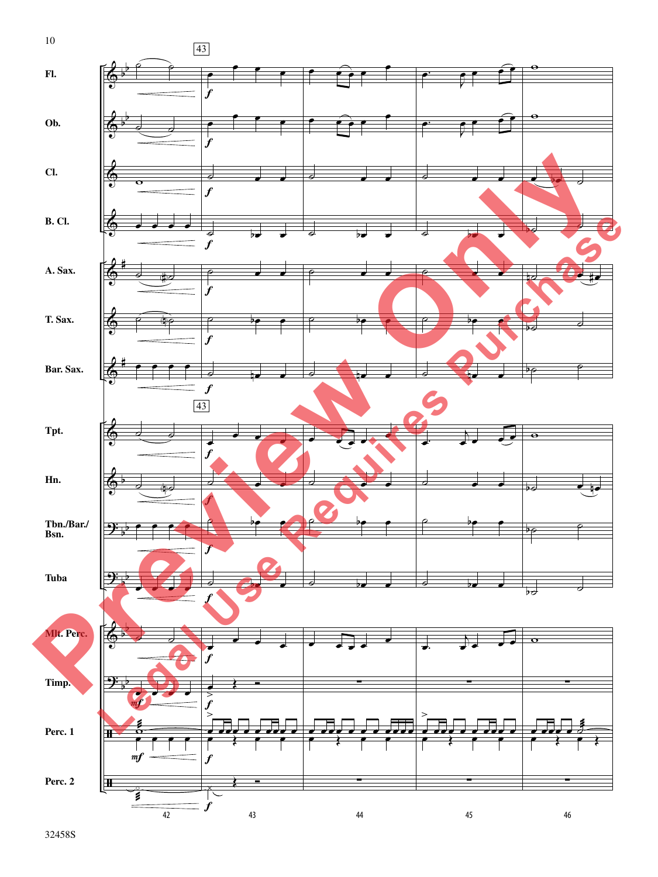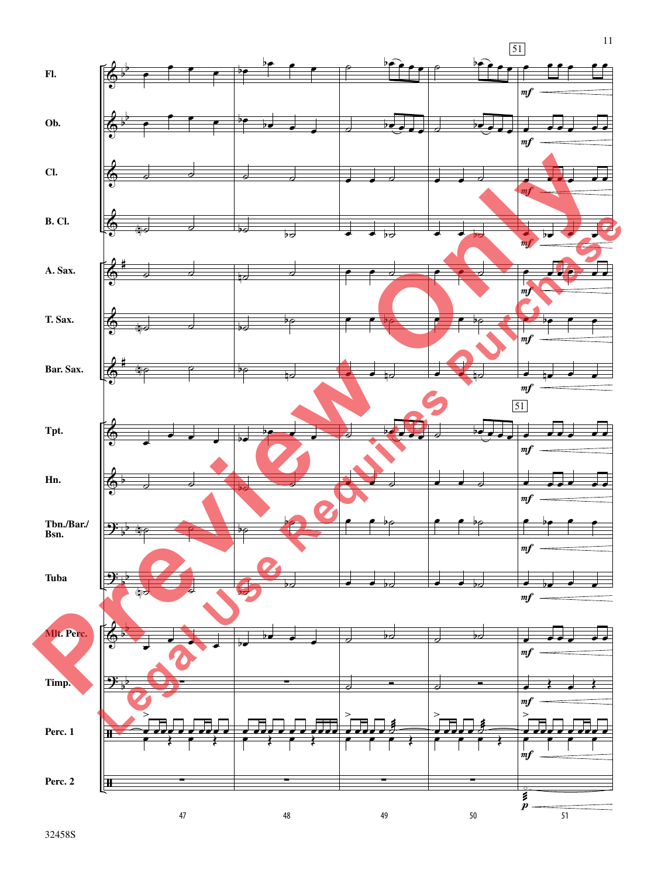